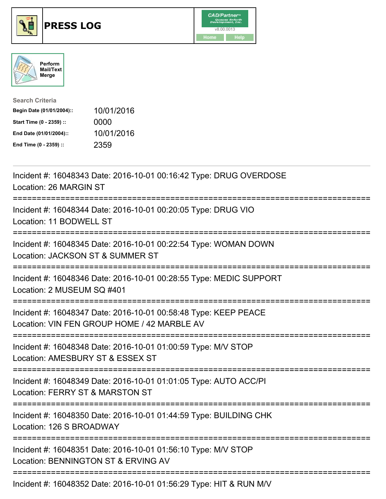





| <b>Search Criteria</b>    |            |
|---------------------------|------------|
| Begin Date (01/01/2004):: | 10/01/2016 |
| Start Time (0 - 2359) ::  | 0000       |
| End Date (01/01/2004)::   | 10/01/2016 |
| End Time (0 - 2359) ::    | 2359       |

| Incident #: 16048343 Date: 2016-10-01 00:16:42 Type: DRUG OVERDOSE<br>Location: 26 MARGIN ST                                                                                                                                                                                                                                                                                                      |
|---------------------------------------------------------------------------------------------------------------------------------------------------------------------------------------------------------------------------------------------------------------------------------------------------------------------------------------------------------------------------------------------------|
| Incident #: 16048344 Date: 2016-10-01 00:20:05 Type: DRUG VIO<br>Location: 11 BODWELL ST                                                                                                                                                                                                                                                                                                          |
| Incident #: 16048345 Date: 2016-10-01 00:22:54 Type: WOMAN DOWN<br>Location: JACKSON ST & SUMMER ST                                                                                                                                                                                                                                                                                               |
| Incident #: 16048346 Date: 2016-10-01 00:28:55 Type: MEDIC SUPPORT<br>Location: 2 MUSEUM SQ #401                                                                                                                                                                                                                                                                                                  |
| Incident #: 16048347 Date: 2016-10-01 00:58:48 Type: KEEP PEACE<br>Location: VIN FEN GROUP HOME / 42 MARBLE AV                                                                                                                                                                                                                                                                                    |
| Incident #: 16048348 Date: 2016-10-01 01:00:59 Type: M/V STOP<br>Location: AMESBURY ST & ESSEX ST                                                                                                                                                                                                                                                                                                 |
| Incident #: 16048349 Date: 2016-10-01 01:01:05 Type: AUTO ACC/PI<br>Location: FERRY ST & MARSTON ST<br>;====================                                                                                                                                                                                                                                                                      |
| Incident #: 16048350 Date: 2016-10-01 01:44:59 Type: BUILDING CHK<br>Location: 126 S BROADWAY                                                                                                                                                                                                                                                                                                     |
| Incident #: 16048351 Date: 2016-10-01 01:56:10 Type: M/V STOP<br>Location: BENNINGTON ST & ERVING AV                                                                                                                                                                                                                                                                                              |
| $\mathbf{L}_{\text{c}}$ , $\mathbf{L}_{\text{c}}$ , $\mathbf{L}_{\text{c}}$ , $\mathbf{L}_{\text{c}}$ , $\mathbf{L}_{\text{c}}$ , $\mathbf{L}_{\text{c}}$ , $\mathbf{L}_{\text{c}}$ , $\mathbf{L}_{\text{c}}$ , $\mathbf{L}_{\text{c}}$ , $\mathbf{L}_{\text{c}}$ , $\mathbf{L}_{\text{c}}$ , $\mathbf{L}_{\text{c}}$ , $\mathbf{L}_{\text{c}}$ , $\mathbf{L}_{\text{c}}$ , $\mathbf{L}_{\text{c$ |

Incident #: 16048352 Date: 2016-10-01 01:56:29 Type: HIT & RUN M/V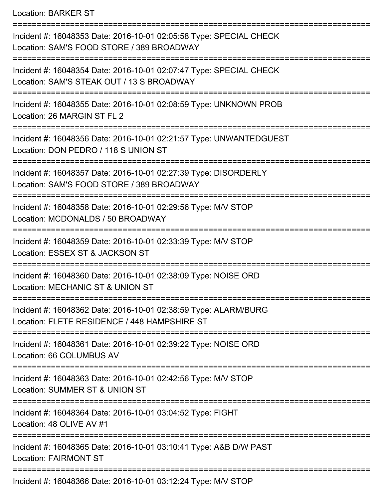Location: BARKER ST

=========================================================================== Incident #: 16048353 Date: 2016-10-01 02:05:58 Type: SPECIAL CHECK Location: SAM'S FOOD STORE / 389 BROADWAY =========================================================================== Incident #: 16048354 Date: 2016-10-01 02:07:47 Type: SPECIAL CHECK Location: SAM'S STEAK OUT / 13 S BROADWAY =========================================================================== Incident #: 16048355 Date: 2016-10-01 02:08:59 Type: UNKNOWN PROB Location: 26 MARGIN ST FL 2 =========================================================================== Incident #: 16048356 Date: 2016-10-01 02:21:57 Type: UNWANTEDGUEST Location: DON PEDRO / 118 S UNION ST =========================================================================== Incident #: 16048357 Date: 2016-10-01 02:27:39 Type: DISORDERLY Location: SAM'S FOOD STORE / 389 BROADWAY =========================================================================== Incident #: 16048358 Date: 2016-10-01 02:29:56 Type: M/V STOP Location: MCDONALDS / 50 BROADWAY =========================================================================== Incident #: 16048359 Date: 2016-10-01 02:33:39 Type: M/V STOP Location: ESSEX ST & JACKSON ST =========================================================================== Incident #: 16048360 Date: 2016-10-01 02:38:09 Type: NOISE ORD Location: MECHANIC ST & UNION ST =========================================================================== Incident #: 16048362 Date: 2016-10-01 02:38:59 Type: ALARM/BURG Location: FLETE RESIDENCE / 448 HAMPSHIRE ST =========================================================================== Incident #: 16048361 Date: 2016-10-01 02:39:22 Type: NOISE ORD Location: 66 COLUMBUS AV =========================================================================== Incident #: 16048363 Date: 2016-10-01 02:42:56 Type: M/V STOP Location: SUMMER ST & UNION ST =========================================================================== Incident #: 16048364 Date: 2016-10-01 03:04:52 Type: FIGHT Location: 48 OLIVE AV #1 =========================================================================== Incident #: 16048365 Date: 2016-10-01 03:10:41 Type: A&B D/W PAST Location: FAIRMONT ST =========================================================================== Incident #: 16048366 Date: 2016-10-01 03:12:24 Type: M/V STOP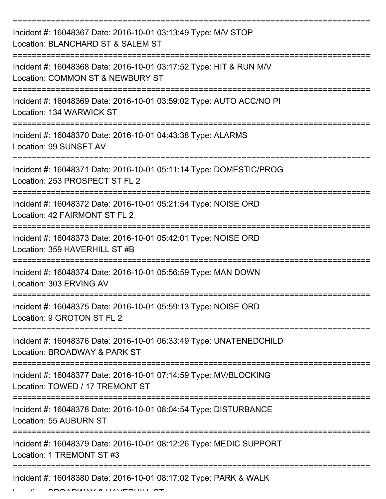| Incident #: 16048367 Date: 2016-10-01 03:13:49 Type: M/V STOP<br>Location: BLANCHARD ST & SALEM ST     |
|--------------------------------------------------------------------------------------------------------|
| Incident #: 16048368 Date: 2016-10-01 03:17:52 Type: HIT & RUN M/V<br>Location: COMMON ST & NEWBURY ST |
| Incident #: 16048369 Date: 2016-10-01 03:59:02 Type: AUTO ACC/NO PI<br>Location: 134 WARWICK ST        |
| Incident #: 16048370 Date: 2016-10-01 04:43:38 Type: ALARMS<br>Location: 99 SUNSET AV                  |
| Incident #: 16048371 Date: 2016-10-01 05:11:14 Type: DOMESTIC/PROG<br>Location: 253 PROSPECT ST FL 2   |
| Incident #: 16048372 Date: 2016-10-01 05:21:54 Type: NOISE ORD<br>Location: 42 FAIRMONT ST FL 2        |
| Incident #: 16048373 Date: 2016-10-01 05:42:01 Type: NOISE ORD<br>Location: 359 HAVERHILL ST #B        |
| Incident #: 16048374 Date: 2016-10-01 05:56:59 Type: MAN DOWN<br>Location: 303 ERVING AV               |
| Incident #: 16048375 Date: 2016-10-01 05:59:13 Type: NOISE ORD<br>Location: 9 GROTON ST FL 2           |
| Incident #: 16048376 Date: 2016-10-01 06:33:49 Type: UNATENEDCHILD<br>Location: BROADWAY & PARK ST     |
| Incident #: 16048377 Date: 2016-10-01 07:14:59 Type: MV/BLOCKING<br>Location: TOWED / 17 TREMONT ST    |
| Incident #: 16048378 Date: 2016-10-01 08:04:54 Type: DISTURBANCE<br>Location: 55 AUBURN ST             |
| Incident #: 16048379 Date: 2016-10-01 08:12:26 Type: MEDIC SUPPORT<br>Location: 1 TREMONT ST #3        |
| Incident #: 16048380 Date: 2016-10-01 08:17:02 Type: PARK & WALK                                       |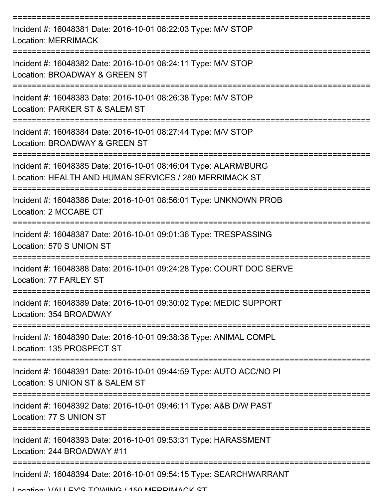| Incident #: 16048381 Date: 2016-10-01 08:22:03 Type: M/V STOP<br><b>Location: MERRIMACK</b>                               |
|---------------------------------------------------------------------------------------------------------------------------|
| Incident #: 16048382 Date: 2016-10-01 08:24:11 Type: M/V STOP<br>Location: BROADWAY & GREEN ST                            |
| Incident #: 16048383 Date: 2016-10-01 08:26:38 Type: M/V STOP<br>Location: PARKER ST & SALEM ST                           |
| Incident #: 16048384 Date: 2016-10-01 08:27:44 Type: M/V STOP<br>Location: BROADWAY & GREEN ST                            |
| Incident #: 16048385 Date: 2016-10-01 08:46:04 Type: ALARM/BURG<br>Location: HEALTH AND HUMAN SERVICES / 280 MERRIMACK ST |
| Incident #: 16048386 Date: 2016-10-01 08:56:01 Type: UNKNOWN PROB<br>Location: 2 MCCABE CT                                |
| Incident #: 16048387 Date: 2016-10-01 09:01:36 Type: TRESPASSING<br>Location: 570 S UNION ST                              |
| Incident #: 16048388 Date: 2016-10-01 09:24:28 Type: COURT DOC SERVE<br>Location: 77 FARLEY ST                            |
| Incident #: 16048389 Date: 2016-10-01 09:30:02 Type: MEDIC SUPPORT<br>Location: 354 BROADWAY                              |
| Incident #: 16048390 Date: 2016-10-01 09:38:36 Type: ANIMAL COMPL<br>Location: 135 PROSPECT ST                            |
| Incident #: 16048391 Date: 2016-10-01 09:44:59 Type: AUTO ACC/NO PI<br>Location: S UNION ST & SALEM ST                    |
| Incident #: 16048392 Date: 2016-10-01 09:46:11 Type: A&B D/W PAST<br>Location: 77 S UNION ST                              |
| Incident #: 16048393 Date: 2016-10-01 09:53:31 Type: HARASSMENT<br>Location: 244 BROADWAY #11                             |
| Incident #: 16048394 Date: 2016-10-01 09:54:15 Type: SEARCHWARRANT                                                        |

Location: VALLEV'S TOWING / 150 MEDDIMACK ST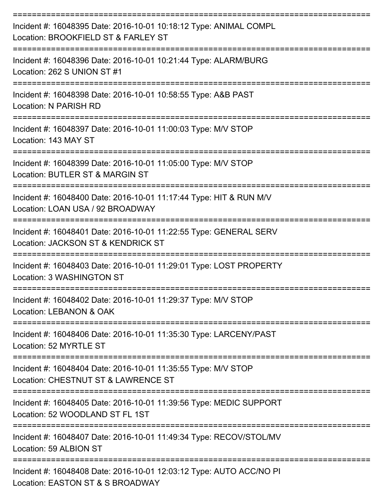| Incident #: 16048395 Date: 2016-10-01 10:18:12 Type: ANIMAL COMPL<br>Location: BROOKFIELD ST & FARLEY ST                                    |
|---------------------------------------------------------------------------------------------------------------------------------------------|
| Incident #: 16048396 Date: 2016-10-01 10:21:44 Type: ALARM/BURG<br>Location: 262 S UNION ST #1                                              |
| Incident #: 16048398 Date: 2016-10-01 10:58:55 Type: A&B PAST<br>Location: N PARISH RD                                                      |
| Incident #: 16048397 Date: 2016-10-01 11:00:03 Type: M/V STOP<br>Location: 143 MAY ST                                                       |
| Incident #: 16048399 Date: 2016-10-01 11:05:00 Type: M/V STOP<br>Location: BUTLER ST & MARGIN ST                                            |
| Incident #: 16048400 Date: 2016-10-01 11:17:44 Type: HIT & RUN M/V<br>Location: LOAN USA / 92 BROADWAY                                      |
| Incident #: 16048401 Date: 2016-10-01 11:22:55 Type: GENERAL SERV<br>Location: JACKSON ST & KENDRICK ST<br>==============                   |
| =============<br>Incident #: 16048403 Date: 2016-10-01 11:29:01 Type: LOST PROPERTY<br>Location: 3 WASHINGTON ST                            |
| :===============<br>Incident #: 16048402 Date: 2016-10-01 11:29:37 Type: M/V STOP<br>Location: LEBANON & OAK                                |
| ======================<br>==================<br>Incident #: 16048406 Date: 2016-10-01 11:35:30 Type: LARCENY/PAST<br>Location: 52 MYRTLE ST |
| Incident #: 16048404 Date: 2016-10-01 11:35:55 Type: M/V STOP<br>Location: CHESTNUT ST & LAWRENCE ST                                        |
| Incident #: 16048405 Date: 2016-10-01 11:39:56 Type: MEDIC SUPPORT<br>Location: 52 WOODLAND ST FL 1ST                                       |
| Incident #: 16048407 Date: 2016-10-01 11:49:34 Type: RECOV/STOL/MV<br>Location: 59 ALBION ST                                                |
| Incident #: 16048408 Date: 2016-10-01 12:03:12 Type: AUTO ACC/NO PI<br>Location: EASTON ST & S BROADWAY                                     |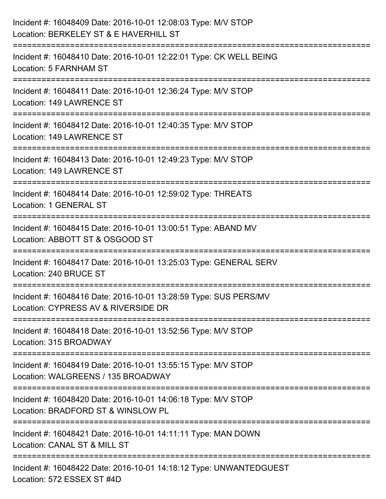| Incident #: 16048409 Date: 2016-10-01 12:08:03 Type: M/V STOP<br>Location: BERKELEY ST & E HAVERHILL ST                         |
|---------------------------------------------------------------------------------------------------------------------------------|
| Incident #: 16048410 Date: 2016-10-01 12:22:01 Type: CK WELL BEING<br>Location: 5 FARNHAM ST                                    |
| Incident #: 16048411 Date: 2016-10-01 12:36:24 Type: M/V STOP<br>Location: 149 LAWRENCE ST<br>.----------------------------     |
| Incident #: 16048412 Date: 2016-10-01 12:40:35 Type: M/V STOP<br>Location: 149 LAWRENCE ST                                      |
| Incident #: 16048413 Date: 2016-10-01 12:49:23 Type: M/V STOP<br>Location: 149 LAWRENCE ST                                      |
| Incident #: 16048414 Date: 2016-10-01 12:59:02 Type: THREATS<br>Location: 1 GENERAL ST                                          |
| Incident #: 16048415 Date: 2016-10-01 13:00:51 Type: ABAND MV<br>Location: ABBOTT ST & OSGOOD ST                                |
| Incident #: 16048417 Date: 2016-10-01 13:25:03 Type: GENERAL SERV<br>Location: 240 BRUCE ST                                     |
| Incident #: 16048416 Date: 2016-10-01 13:28:59 Type: SUS PERS/MV<br>Location: CYPRESS AV & RIVERSIDE DR                         |
| Incident #: 16048418 Date: 2016-10-01 13:52:56 Type: M/V STOP<br>Location: 315 BROADWAY<br>==================================== |
| Incident #: 16048419 Date: 2016-10-01 13:55:15 Type: M/V STOP<br>Location: WALGREENS / 135 BROADWAY                             |
| Incident #: 16048420 Date: 2016-10-01 14:06:18 Type: M/V STOP<br>Location: BRADFORD ST & WINSLOW PL                             |
| Incident #: 16048421 Date: 2016-10-01 14:11:11 Type: MAN DOWN<br>Location: CANAL ST & MILL ST                                   |
| Incident #: 16048422 Date: 2016-10-01 14:18:12 Type: UNWANTEDGUEST<br>Location: 572 ESSEX ST #4D                                |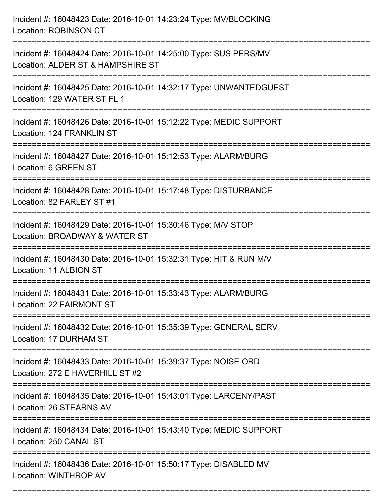| Incident #: 16048423 Date: 2016-10-01 14:23:24 Type: MV/BLOCKING<br><b>Location: ROBINSON CT</b>                                  |
|-----------------------------------------------------------------------------------------------------------------------------------|
| Incident #: 16048424 Date: 2016-10-01 14:25:00 Type: SUS PERS/MV<br>Location: ALDER ST & HAMPSHIRE ST                             |
| Incident #: 16048425 Date: 2016-10-01 14:32:17 Type: UNWANTEDGUEST<br>Location: 129 WATER ST FL 1<br>:==================          |
| Incident #: 16048426 Date: 2016-10-01 15:12:22 Type: MEDIC SUPPORT<br>Location: 124 FRANKLIN ST                                   |
| Incident #: 16048427 Date: 2016-10-01 15:12:53 Type: ALARM/BURG<br>Location: 6 GREEN ST                                           |
| Incident #: 16048428 Date: 2016-10-01 15:17:48 Type: DISTURBANCE<br>Location: 82 FARLEY ST #1                                     |
| Incident #: 16048429 Date: 2016-10-01 15:30:46 Type: M/V STOP<br>Location: BROADWAY & WATER ST<br>===============                 |
| Incident #: 16048430 Date: 2016-10-01 15:32:31 Type: HIT & RUN M/V<br>Location: 11 ALBION ST                                      |
| Incident #: 16048431 Date: 2016-10-01 15:33:43 Type: ALARM/BURG<br>Location: 22 FAIRMONT ST                                       |
| Incident #: 16048432 Date: 2016-10-01 15:35:39 Type: GENERAL SERV<br>Location: 17 DURHAM ST<br>:================================= |
| Incident #: 16048433 Date: 2016-10-01 15:39:37 Type: NOISE ORD<br>Location: 272 E HAVERHILL ST #2                                 |
| Incident #: 16048435 Date: 2016-10-01 15:43:01 Type: LARCENY/PAST<br>Location: 26 STEARNS AV                                      |
| Incident #: 16048434 Date: 2016-10-01 15:43:40 Type: MEDIC SUPPORT<br>Location: 250 CANAL ST                                      |
| Incident #: 16048436 Date: 2016-10-01 15:50:17 Type: DISABLED MV<br>Location: WINTHROP AV                                         |

===========================================================================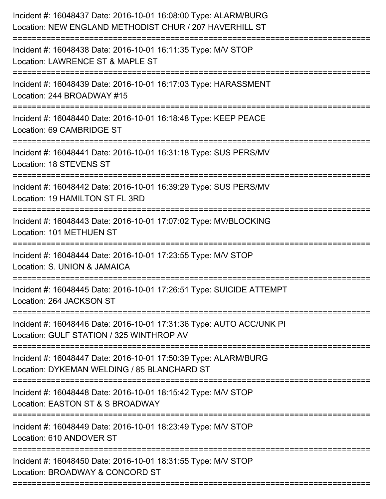| Incident #: 16048437 Date: 2016-10-01 16:08:00 Type: ALARM/BURG<br>Location: NEW ENGLAND METHODIST CHUR / 207 HAVERHILL ST                 |
|--------------------------------------------------------------------------------------------------------------------------------------------|
| Incident #: 16048438 Date: 2016-10-01 16:11:35 Type: M/V STOP<br>Location: LAWRENCE ST & MAPLE ST                                          |
| Incident #: 16048439 Date: 2016-10-01 16:17:03 Type: HARASSMENT<br>Location: 244 BROADWAY #15<br>:====================                     |
| Incident #: 16048440 Date: 2016-10-01 16:18:48 Type: KEEP PEACE<br>Location: 69 CAMBRIDGE ST                                               |
| Incident #: 16048441 Date: 2016-10-01 16:31:18 Type: SUS PERS/MV<br>Location: 18 STEVENS ST                                                |
| Incident #: 16048442 Date: 2016-10-01 16:39:29 Type: SUS PERS/MV<br>Location: 19 HAMILTON ST FL 3RD                                        |
| Incident #: 16048443 Date: 2016-10-01 17:07:02 Type: MV/BLOCKING<br>Location: 101 METHUEN ST                                               |
| Incident #: 16048444 Date: 2016-10-01 17:23:55 Type: M/V STOP<br>Location: S. UNION & JAMAICA                                              |
| Incident #: 16048445 Date: 2016-10-01 17:26:51 Type: SUICIDE ATTEMPT<br>Location: 264 JACKSON ST                                           |
| Incident #: 16048446 Date: 2016-10-01 17:31:36 Type: AUTO ACC/UNK PI<br>Location: GULF STATION / 325 WINTHROP AV                           |
| Incident #: 16048447 Date: 2016-10-01 17:50:39 Type: ALARM/BURG<br>Location: DYKEMAN WELDING / 85 BLANCHARD ST                             |
| Incident #: 16048448 Date: 2016-10-01 18:15:42 Type: M/V STOP<br>Location: EASTON ST & S BROADWAY<br>===================================== |
| Incident #: 16048449 Date: 2016-10-01 18:23:49 Type: M/V STOP<br>Location: 610 ANDOVER ST                                                  |
| Incident #: 16048450 Date: 2016-10-01 18:31:55 Type: M/V STOP<br>Location: BROADWAY & CONCORD ST                                           |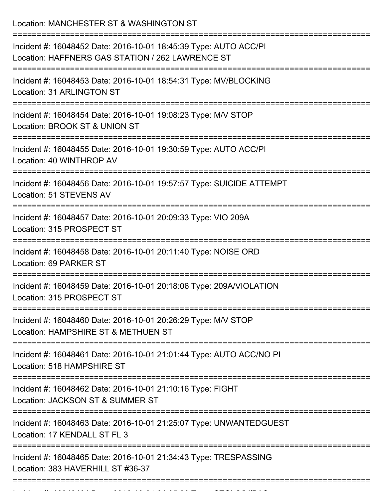Location: MANCHESTER ST & WASHINGTON ST =========================================================================== Incident #: 16048452 Date: 2016-10-01 18:45:39 Type: AUTO ACC/PI Location: HAFFNERS GAS STATION / 262 LAWRENCE ST =========================================================================== Incident #: 16048453 Date: 2016-10-01 18:54:31 Type: MV/BLOCKING Location: 31 ARLINGTON ST =========================================================================== Incident #: 16048454 Date: 2016-10-01 19:08:23 Type: M/V STOP Location: BROOK ST & UNION ST =========================================================================== Incident #: 16048455 Date: 2016-10-01 19:30:59 Type: AUTO ACC/PI Location: 40 WINTHROP AV =========================================================================== Incident #: 16048456 Date: 2016-10-01 19:57:57 Type: SUICIDE ATTEMPT Location: 51 STEVENS AV =========================================================================== Incident #: 16048457 Date: 2016-10-01 20:09:33 Type: VIO 209A Location: 315 PROSPECT ST =========================================================================== Incident #: 16048458 Date: 2016-10-01 20:11:40 Type: NOISE ORD Location: 69 PARKER ST =========================================================================== Incident #: 16048459 Date: 2016-10-01 20:18:06 Type: 209A/VIOLATION Location: 315 PROSPECT ST =========================================================================== Incident #: 16048460 Date: 2016-10-01 20:26:29 Type: M/V STOP Location: HAMPSHIRE ST & METHUEN ST =========================================================================== Incident #: 16048461 Date: 2016-10-01 21:01:44 Type: AUTO ACC/NO PI Location: 518 HAMPSHIRE ST =========================================================================== Incident #: 16048462 Date: 2016-10-01 21:10:16 Type: FIGHT Location: JACKSON ST & SUMMER ST =========================================================================== Incident #: 16048463 Date: 2016-10-01 21:25:07 Type: UNWANTEDGUEST Location: 17 KENDALL ST FL 3 =========================================================================== Incident #: 16048465 Date: 2016-10-01 21:34:43 Type: TRESPASSING Location: 383 HAVERHILL ST #36-37 ===========================================================================

Incident #: 16048464 Date: 2016 10 01 21:34:36 Type: 2016 10 101 21:36:30 Type: STOL/MV/PASS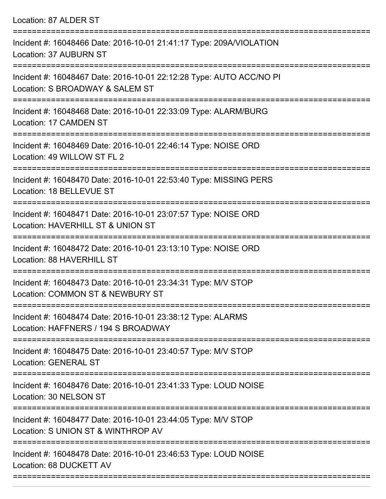Location: 87 ALDER ST

| Incident #: 16048466 Date: 2016-10-01 21:41:17 Type: 209A/VIOLATION<br>Location: 37 AUBURN ST          |
|--------------------------------------------------------------------------------------------------------|
| Incident #: 16048467 Date: 2016-10-01 22:12:28 Type: AUTO ACC/NO PI<br>Location: S BROADWAY & SALEM ST |
| Incident #: 16048468 Date: 2016-10-01 22:33:09 Type: ALARM/BURG<br>Location: 17 CAMDEN ST              |
| Incident #: 16048469 Date: 2016-10-01 22:46:14 Type: NOISE ORD<br>Location: 49 WILLOW ST FL 2          |
| Incident #: 16048470 Date: 2016-10-01 22:53:40 Type: MISSING PERS<br>Location: 18 BELLEVUE ST          |
| Incident #: 16048471 Date: 2016-10-01 23:07:57 Type: NOISE ORD<br>Location: HAVERHILL ST & UNION ST    |
| Incident #: 16048472 Date: 2016-10-01 23:13:10 Type: NOISE ORD<br>Location: 88 HAVERHILL ST            |
| Incident #: 16048473 Date: 2016-10-01 23:34:31 Type: M/V STOP<br>Location: COMMON ST & NEWBURY ST      |
| Incident #: 16048474 Date: 2016-10-01 23:38:12 Type: ALARMS<br>Location: HAFFNERS / 194 S BROADWAY     |
| Incident #: 16048475 Date: 2016-10-01 23:40:57 Type: M/V STOP<br><b>Location: GENERAL ST</b>           |
| Incident #: 16048476 Date: 2016-10-01 23:41:33 Type: LOUD NOISE<br>Location: 30 NELSON ST              |
| Incident #: 16048477 Date: 2016-10-01 23:44:05 Type: M/V STOP<br>Location: S UNION ST & WINTHROP AV    |
| Incident #: 16048478 Date: 2016-10-01 23:46:53 Type: LOUD NOISE<br>Location: 68 DUCKETT AV             |
|                                                                                                        |